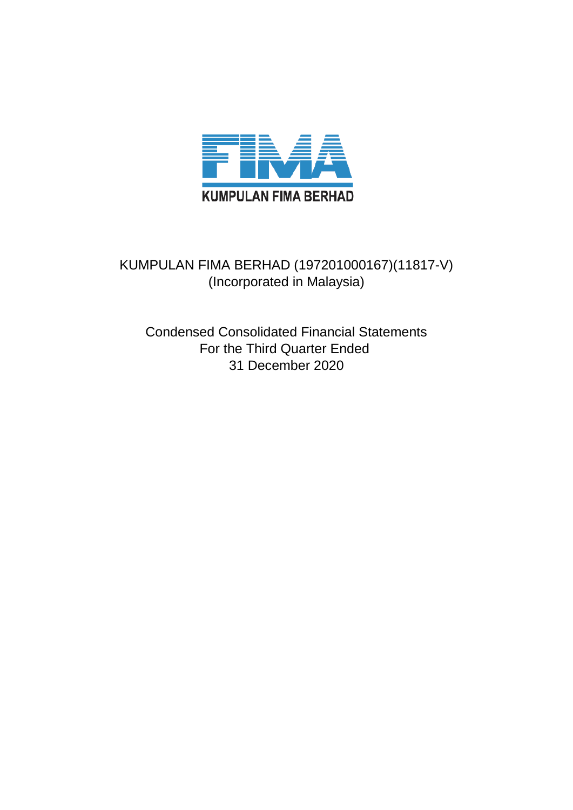

# KUMPULAN FIMA BERHAD (197201000167)(11817-V) (Incorporated in Malaysia)

Condensed Consolidated Financial Statements For the Third Quarter Ended 31 December 2020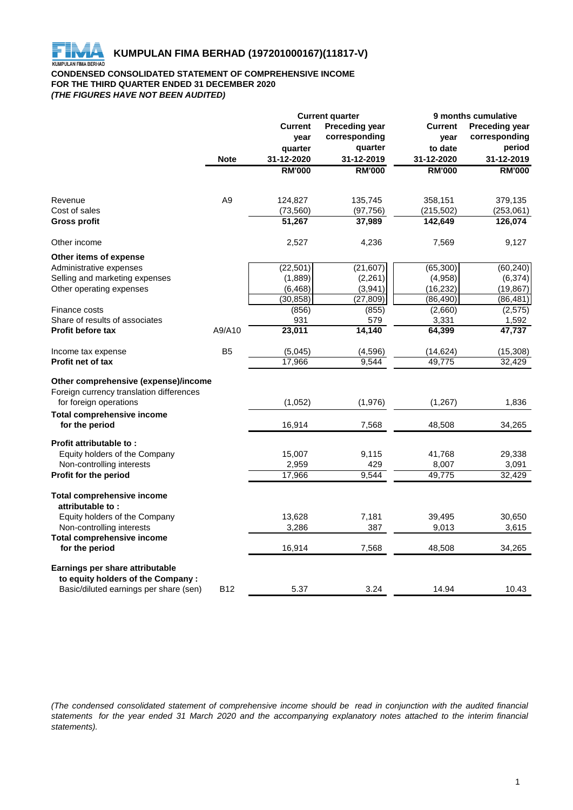

## **CONDENSED CONSOLIDATED STATEMENT OF COMPREHENSIVE INCOME FOR THE THIRD QUARTER ENDED 31 DECEMBER 2020** *(THE FIGURES HAVE NOT BEEN AUDITED)*

|                                                                      |                | <b>Current quarter</b> |                       | 9 months cumulative |                       |  |
|----------------------------------------------------------------------|----------------|------------------------|-----------------------|---------------------|-----------------------|--|
|                                                                      |                | <b>Current</b>         | <b>Preceding year</b> | <b>Current</b>      | <b>Preceding year</b> |  |
|                                                                      |                | year                   | corresponding         | year                | corresponding         |  |
|                                                                      |                | quarter                | quarter               | to date             | period                |  |
|                                                                      | <b>Note</b>    | 31-12-2020             | 31-12-2019            | 31-12-2020          | 31-12-2019            |  |
|                                                                      |                | <b>RM'000</b>          | <b>RM'000</b>         | <b>RM'000</b>       | <b>RM'000</b>         |  |
|                                                                      |                |                        |                       |                     |                       |  |
| Revenue                                                              | A <sub>9</sub> | 124,827                | 135,745               | 358,151             | 379,135               |  |
| Cost of sales                                                        |                | (73, 560)              | (97, 756)             | (215, 502)          | (253,061)             |  |
| <b>Gross profit</b>                                                  |                | 51,267                 | 37,989                | 142,649             | 126,074               |  |
| Other income                                                         |                | 2,527                  | 4,236                 | 7,569               | 9,127                 |  |
| Other items of expense                                               |                |                        |                       |                     |                       |  |
| Administrative expenses                                              |                | (22, 501)              | (21, 607)             | (65, 300)           | (60, 240)             |  |
| Selling and marketing expenses                                       |                | (1,889)                | (2, 261)              | (4,958)             | (6, 374)              |  |
| Other operating expenses                                             |                | (6, 468)               | (3,941)               | (16, 232)           | (19, 867)             |  |
|                                                                      |                | (30, 858)              | (27, 809)             | (86, 490)           | (86, 481)             |  |
| Finance costs                                                        |                | (856)                  | (855)                 | (2,660)             | (2, 575)              |  |
| Share of results of associates                                       |                | 931                    | 579                   | 3,331               | 1,592                 |  |
| <b>Profit before tax</b>                                             | A9/A10         | 23,011                 | 14,140                | 64,399              | 47,737                |  |
| Income tax expense                                                   | B <sub>5</sub> | (5,045)                | (4,596)               | (14, 624)           | (15, 308)             |  |
| <b>Profit net of tax</b>                                             |                | 17,966                 | 9.544                 | 49,775              | 32,429                |  |
| Other comprehensive (expense)/income                                 |                |                        |                       |                     |                       |  |
| Foreign currency translation differences                             |                |                        |                       |                     |                       |  |
| for foreign operations                                               |                | (1,052)                | (1,976)               | (1, 267)            | 1,836                 |  |
| <b>Total comprehensive income</b>                                    |                |                        |                       |                     |                       |  |
| for the period                                                       |                | 16,914                 | 7,568                 | 48,508              | 34,265                |  |
| Profit attributable to:                                              |                |                        |                       |                     |                       |  |
| Equity holders of the Company                                        |                | 15,007                 | 9,115                 | 41,768              | 29,338                |  |
| Non-controlling interests                                            |                | 2,959                  | 429                   | 8,007               | 3,091                 |  |
| Profit for the period                                                |                | 17,966                 | 9,544                 | 49,775              | 32,429                |  |
| <b>Total comprehensive income</b>                                    |                |                        |                       |                     |                       |  |
| attributable to:                                                     |                |                        |                       |                     |                       |  |
| Equity holders of the Company                                        |                | 13,628                 | 7,181                 | 39,495              | 30,650                |  |
| Non-controlling interests                                            |                | 3,286                  | 387                   | 9,013               | 3,615                 |  |
| <b>Total comprehensive income</b><br>for the period                  |                | 16,914                 | 7,568                 | 48,508              | 34,265                |  |
|                                                                      |                |                        |                       |                     |                       |  |
| Earnings per share attributable<br>to equity holders of the Company: |                |                        |                       |                     |                       |  |
| Basic/diluted earnings per share (sen)                               | <b>B12</b>     | 5.37                   | 3.24                  | 14.94               | 10.43                 |  |
|                                                                      |                |                        |                       |                     |                       |  |

(The condensed consolidated statement of comprehensive income should be read in conjunction with the audited financial statements for the year ended 31 March 2020 and the accompanying explanatory notes attached to the interim financial *statements).*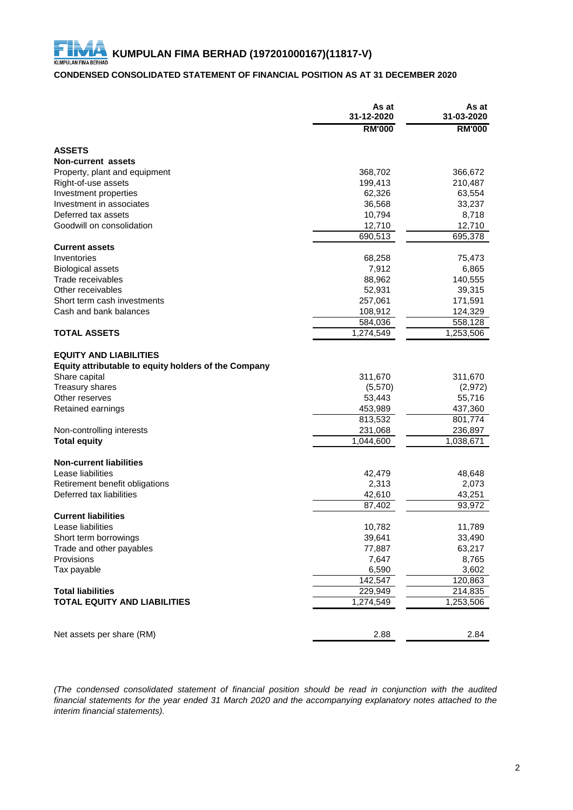# **CONDENSED CONSOLIDATED STATEMENT OF FINANCIAL POSITION AS AT 31 DECEMBER 2020**

|                                                                                       | As at<br>31-12-2020  | As at<br>31-03-2020 |
|---------------------------------------------------------------------------------------|----------------------|---------------------|
|                                                                                       | <b>RM'000</b>        | <b>RM'000</b>       |
| <b>ASSETS</b>                                                                         |                      |                     |
| <b>Non-current assets</b>                                                             |                      |                     |
| Property, plant and equipment                                                         | 368,702              | 366,672             |
| Right-of-use assets                                                                   | 199,413              | 210,487             |
| Investment properties                                                                 | 62,326               | 63,554              |
| Investment in associates                                                              | 36,568               | 33,237              |
| Deferred tax assets                                                                   | 10,794               | 8,718               |
| Goodwill on consolidation                                                             | 12,710               | 12,710              |
|                                                                                       | 690,513              | 695,378             |
| <b>Current assets</b>                                                                 |                      |                     |
| Inventories                                                                           | 68,258               | 75,473              |
| <b>Biological assets</b>                                                              | 7,912                | 6,865               |
| Trade receivables                                                                     | 88,962               | 140,555             |
| Other receivables                                                                     | 52,931               | 39,315              |
| Short term cash investments                                                           | 257,061              | 171,591             |
| Cash and bank balances                                                                | 108,912              | 124,329             |
|                                                                                       | 584,036              | 558,128             |
| <b>TOTAL ASSETS</b>                                                                   | 1,274,549            | 1,253,506           |
| <b>EQUITY AND LIABILITIES</b><br>Equity attributable to equity holders of the Company |                      |                     |
| Share capital                                                                         | 311,670              | 311,670             |
| Treasury shares                                                                       | (5,570)              | (2,972)             |
| Other reserves                                                                        | 53,443               | 55,716              |
| Retained earnings                                                                     | 453,989              | 437,360             |
|                                                                                       | 813,532              | 801,774             |
| Non-controlling interests                                                             | 231,068              | 236,897             |
| <b>Total equity</b>                                                                   | 1,044,600            | 1,038,671           |
| <b>Non-current liabilities</b>                                                        |                      |                     |
| Lease liabilities                                                                     | 42,479               | 48,648              |
| Retirement benefit obligations                                                        | 2,313                | 2,073               |
| Deferred tax liabilities                                                              | 42,610               | 43,251              |
|                                                                                       | 87,402               | 93,972              |
| <b>Current liabilities</b>                                                            |                      |                     |
| Lease liabilities                                                                     | 10,782               | 11,789              |
| Short term borrowings                                                                 | 39,641               | 33,490              |
| Trade and other payables                                                              | 77,887               | 63,217              |
| Provisions                                                                            | 7,647                | 8,765               |
| Tax payable                                                                           | 6,590                | 3,602               |
|                                                                                       | 142,547              | 120,863             |
| <b>Total liabilities</b><br><b>TOTAL EQUITY AND LIABILITIES</b>                       | 229,949<br>1,274,549 | 214,835             |
|                                                                                       |                      | 1,253,506           |
| Net assets per share (RM)                                                             | 2.88                 | 2.84                |

*(The condensed consolidated statement of financial position should be read in conjunction with the audited* financial statements for the year ended 31 March 2020 and the accompanying explanatory notes attached to the *interim financial statements).*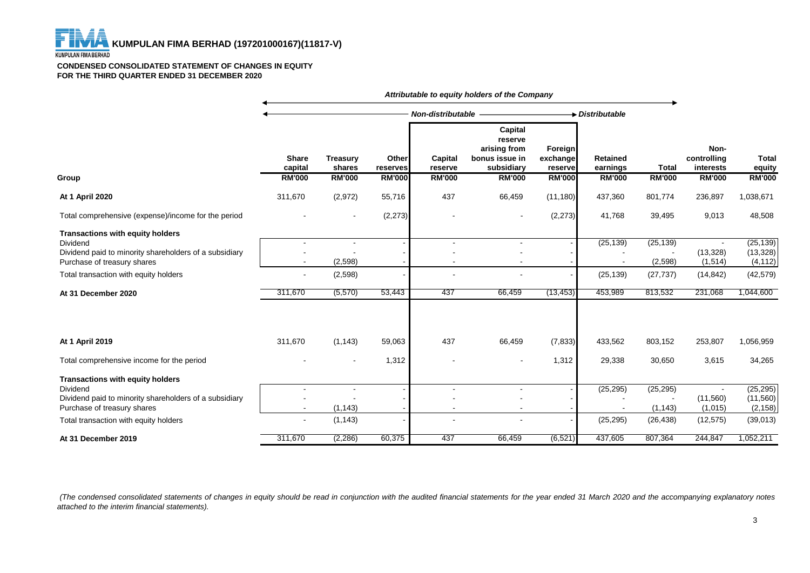#### **CONDENSED CONSOLIDATED STATEMENT OF CHANGES IN EQUITY FOR THE THIRD QUARTER ENDED 31 DECEMBER 2020**

|                                                                                                                                                     | Attributable to equity holders of the Company |                           |                   |                    |                                                                    |                                |                      |                      |                                  |                                    |
|-----------------------------------------------------------------------------------------------------------------------------------------------------|-----------------------------------------------|---------------------------|-------------------|--------------------|--------------------------------------------------------------------|--------------------------------|----------------------|----------------------|----------------------------------|------------------------------------|
|                                                                                                                                                     |                                               |                           |                   |                    | Non-distributable                                                  |                                | Distributable        |                      |                                  |                                    |
|                                                                                                                                                     | <b>Share</b><br>capital                       | <b>Treasury</b><br>shares | Other<br>reserves | Capital<br>reserve | Capital<br>reserve<br>arising from<br>bonus issue in<br>subsidiary | Foreign<br>exchange<br>reserve | Retained<br>earnings | Total                | Non-<br>controlling<br>interests | Total<br>equity                    |
| Group                                                                                                                                               | <b>RM'000</b>                                 | <b>RM'000</b>             | <b>RM'000</b>     | <b>RM'000</b>      | <b>RM'000</b>                                                      | <b>RM'000</b>                  | <b>RM'000</b>        | <b>RM'000</b>        | <b>RM'000</b>                    | <b>RM'000</b>                      |
| At 1 April 2020                                                                                                                                     | 311,670                                       | (2,972)                   | 55,716            | 437                | 66,459                                                             | (11, 180)                      | 437,360              | 801,774              | 236,897                          | 1,038,671                          |
| Total comprehensive (expense)/income for the period                                                                                                 |                                               | $\sim$                    | (2, 273)          |                    | $\blacksquare$                                                     | (2, 273)                       | 41,768               | 39,495               | 9,013                            | 48,508                             |
| <b>Transactions with equity holders</b><br><b>Dividend</b><br>Dividend paid to minority shareholders of a subsidiary<br>Purchase of treasury shares |                                               | (2,598)                   |                   | ٠                  | $\overline{a}$                                                     |                                | (25, 139)            | (25, 139)<br>(2,598) | (13, 328)<br>(1,514)             | (25, 139)<br>(13, 328)<br>(4, 112) |
| Total transaction with equity holders                                                                                                               |                                               | (2,598)                   |                   |                    | $\blacksquare$                                                     |                                | (25, 139)            | (27, 737)            | (14, 842)                        | (42, 579)                          |
| At 31 December 2020                                                                                                                                 | 311,670                                       | (5, 570)                  | 53,443            | 437                | 66,459                                                             | (13, 453)                      | 453,989              | 813,532              | 231,068                          | 1,044,600                          |
| At 1 April 2019                                                                                                                                     | 311,670                                       | (1, 143)                  | 59,063            | 437                | 66,459                                                             | (7, 833)                       | 433,562              | 803,152              | 253,807                          | 1,056,959                          |
| Total comprehensive income for the period                                                                                                           |                                               |                           | 1,312             |                    | $\blacksquare$                                                     | 1,312                          | 29,338               | 30,650               | 3,615                            | 34,265                             |
| <b>Transactions with equity holders</b><br><b>Dividend</b>                                                                                          |                                               |                           |                   | ÷.                 | $\blacksquare$                                                     |                                | (25, 295)            | (25, 295)            |                                  | (25, 295)                          |
| Dividend paid to minority shareholders of a subsidiary<br>Purchase of treasury shares                                                               |                                               | (1, 143)                  |                   |                    |                                                                    |                                |                      | (1, 143)             | (11,560)<br>(1,015)              | (11, 560)<br>(2, 158)              |
| Total transaction with equity holders                                                                                                               | $\blacksquare$                                | (1, 143)                  |                   |                    |                                                                    |                                | (25, 295)            | (26, 438)            | (12, 575)                        | (39,013)                           |
| At 31 December 2019                                                                                                                                 | 311,670                                       | (2, 286)                  | 60,375            | 437                | 66,459                                                             | (6, 521)                       | 437,605              | 807,364              | 244,847                          | 1,052,211                          |

(The condensed consolidated statements of changes in equity should be read in conjunction with the audited financial statements for the year ended 31 March 2020 and the accompanying explanatory notes *attached to the interim financial statements).*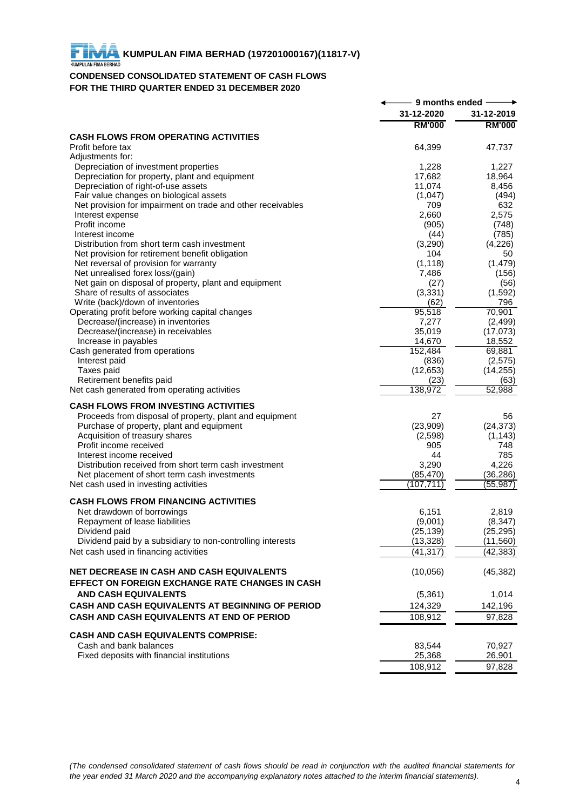## **CONDENSED CONSOLIDATED STATEMENT OF CASH FLOWS FOR THE THIRD QUARTER ENDED 31 DECEMBER 2020**

|                                                                                       | 9 months ended   |                    |
|---------------------------------------------------------------------------------------|------------------|--------------------|
|                                                                                       | 31-12-2020       | 31-12-2019         |
|                                                                                       | <b>RM'000</b>    | <b>RM'000</b>      |
| <b>CASH FLOWS FROM OPERATING ACTIVITIES</b>                                           |                  |                    |
| Profit before tax                                                                     | 64,399           | 47,737             |
| Adjustments for:                                                                      |                  |                    |
| Depreciation of investment properties                                                 | 1,228            | 1.227              |
| Depreciation for property, plant and equipment<br>Depreciation of right-of-use assets | 17,682<br>11,074 | 18,964<br>8,456    |
| Fair value changes on biological assets                                               | (1,047)          | (494)              |
| Net provision for impairment on trade and other receivables                           | 709              | 632                |
| Interest expense                                                                      | 2,660            | 2,575              |
| Profit income                                                                         | (905)            | (748)              |
| Interest income                                                                       | (44)             | (785)              |
| Distribution from short term cash investment                                          | (3,290)          | (4,226)            |
| Net provision for retirement benefit obligation                                       | 104              | 50                 |
| Net reversal of provision for warranty                                                | (1, 118)         | (1, 479)           |
| Net unrealised forex loss/(gain)                                                      | 7,486            | (156)              |
| Net gain on disposal of property, plant and equipment                                 | (27)             | (56)               |
| Share of results of associates                                                        | (3,331)          | (1, 592)           |
| Write (back)/down of inventories                                                      | (62)             | 796                |
| Operating profit before working capital changes                                       | 95,518           | 70,901             |
| Decrease/(increase) in inventories                                                    | 7,277            | (2, 499)           |
| Decrease/(increase) in receivables<br>Increase in payables                            | 35,019<br>14,670 | (17,073)<br>18,552 |
| Cash generated from operations                                                        | 152,484          | 69,881             |
| Interest paid                                                                         | (836)            | (2, 575)           |
| Taxes paid                                                                            | (12, 653)        | (14, 255)          |
| Retirement benefits paid                                                              | (23)             | (63)               |
| Net cash generated from operating activities                                          | 138,972          | 52,988             |
| <b>CASH FLOWS FROM INVESTING ACTIVITIES</b>                                           |                  |                    |
| Proceeds from disposal of property, plant and equipment                               | 27               | 56                 |
| Purchase of property, plant and equipment                                             | (23,909)         | (24, 373)          |
| Acquisition of treasury shares                                                        | (2,598)          | (1, 143)           |
| Profit income received                                                                | 905              | 748                |
| Interest income received                                                              | 44               | 785                |
| Distribution received from short term cash investment                                 | 3,290            | 4,226              |
| Net placement of short term cash investments                                          | (85, 470)        | (36, 286)          |
| Net cash used in investing activities                                                 | (107, 711)       | (55, 987)          |
| <b>CASH FLOWS FROM FINANCING ACTIVITIES</b>                                           |                  |                    |
| Net drawdown of borrowings                                                            | 6,151            | 2,819              |
| Repayment of lease liabilities                                                        | (9,001)          | (8, 347)           |
| Dividend paid                                                                         | (25, 139)        | (25, 295)          |
| Dividend paid by a subsidiary to non-controlling interests                            | (13, 328)        | (11, 560)          |
| Net cash used in financing activities                                                 | (41, 317)        | (42, 383)          |
|                                                                                       |                  |                    |
| <b>NET DECREASE IN CASH AND CASH EQUIVALENTS</b>                                      | (10,056)         | (45, 382)          |
| EFFECT ON FOREIGN EXCHANGE RATE CHANGES IN CASH                                       |                  |                    |
| <b>AND CASH EQUIVALENTS</b>                                                           | (5, 361)         | 1,014              |
| CASH AND CASH EQUIVALENTS AT BEGINNING OF PERIOD                                      | 124,329          | 142,196            |
| CASH AND CASH EQUIVALENTS AT END OF PERIOD                                            | 108.912          | 97,828             |
| <b>CASH AND CASH EQUIVALENTS COMPRISE:</b>                                            |                  |                    |
| Cash and bank balances                                                                | 83,544           | 70,927             |
| Fixed deposits with financial institutions                                            | 25,368           | 26,901             |
|                                                                                       | 108,912          | 97,828             |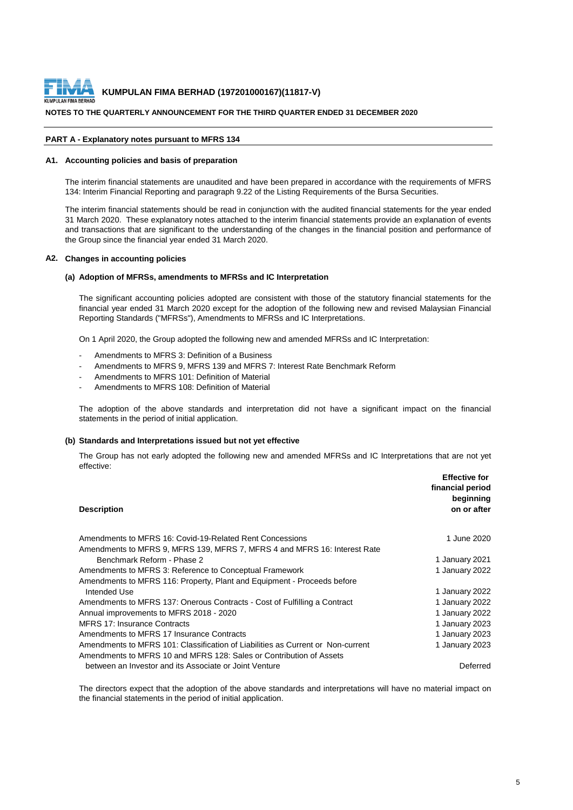

#### **NOTES TO THE QUARTERLY ANNOUNCEMENT FOR THE THIRD QUARTER ENDED 31 DECEMBER 2020**

#### **PART A - Explanatory notes pursuant to MFRS 134**

#### **A1. Accounting policies and basis of preparation**

The interim financial statements are unaudited and have been prepared in accordance with the requirements of MFRS 134: Interim Financial Reporting and paragraph 9.22 of the Listing Requirements of the Bursa Securities.

The interim financial statements should be read in conjunction with the audited financial statements for the year ended 31 March 2020. These explanatory notes attached to the interim financial statements provide an explanation of events and transactions that are significant to the understanding of the changes in the financial position and performance of the Group since the financial year ended 31 March 2020.

#### **A2. Changes in accounting policies**

#### **(a) Adoption of MFRSs, amendments to MFRSs and IC Interpretation**

The significant accounting policies adopted are consistent with those of the statutory financial statements for the financial year ended 31 March 2020 except for the adoption of the following new and revised Malaysian Financial Reporting Standards ("MFRSs"), Amendments to MFRSs and IC Interpretations.

On 1 April 2020, the Group adopted the following new and amended MFRSs and IC Interpretation:

- Amendments to MFRS 3: Definition of a Business
- Amendments to MFRS 9, MFRS 139 and MFRS 7: Interest Rate Benchmark Reform
- Amendments to MFRS 101: Definition of Material
- Amendments to MFRS 108: Definition of Material

The adoption of the above standards and interpretation did not have a significant impact on the financial statements in the period of initial application.

#### **(b) Standards and Interpretations issued but not yet effective**

The Group has not early adopted the following new and amended MFRSs and IC Interpretations that are not yet effective:

|                                                                                 | <b>Effective for</b><br>financial period<br>beginning |
|---------------------------------------------------------------------------------|-------------------------------------------------------|
| <b>Description</b>                                                              | on or after                                           |
| Amendments to MFRS 16: Covid-19-Related Rent Concessions                        | 1 June 2020                                           |
| Amendments to MFRS 9, MFRS 139, MFRS 7, MFRS 4 and MFRS 16: Interest Rate       |                                                       |
| Benchmark Reform - Phase 2                                                      | 1 January 2021                                        |
| Amendments to MFRS 3: Reference to Conceptual Framework                         | 1 January 2022                                        |
| Amendments to MFRS 116: Property, Plant and Equipment - Proceeds before         |                                                       |
| Intended Use                                                                    | 1 January 2022                                        |
| Amendments to MFRS 137: Onerous Contracts - Cost of Fulfilling a Contract       | 1 January 2022                                        |
| Annual improvements to MFRS 2018 - 2020                                         | 1 January 2022                                        |
| MFRS 17: Insurance Contracts                                                    | 1 January 2023                                        |
| Amendments to MFRS 17 Insurance Contracts                                       | 1 January 2023                                        |
| Amendments to MFRS 101: Classification of Liabilities as Current or Non-current | 1 January 2023                                        |
| Amendments to MFRS 10 and MFRS 128: Sales or Contribution of Assets             |                                                       |
| between an Investor and its Associate or Joint Venture                          | Deferred                                              |

The directors expect that the adoption of the above standards and interpretations will have no material impact on the financial statements in the period of initial application.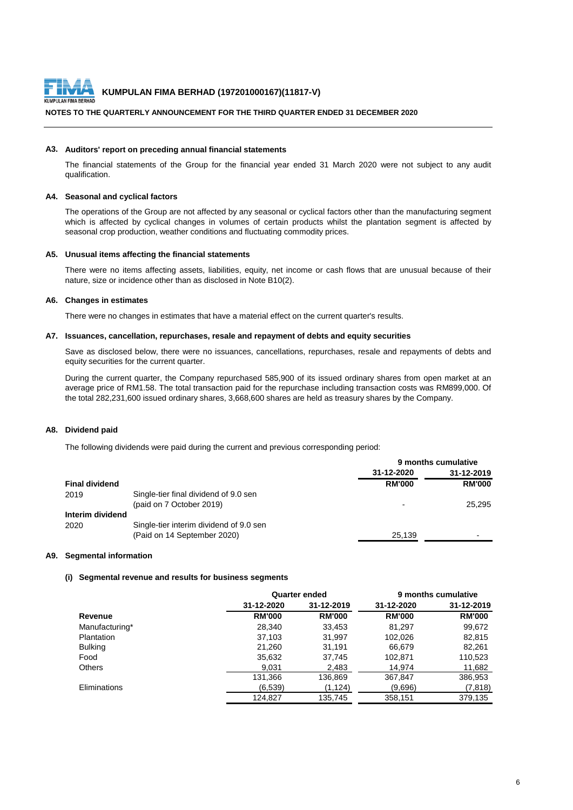

## **NOTES TO THE QUARTERLY ANNOUNCEMENT FOR THE THIRD QUARTER ENDED 31 DECEMBER 2020**

#### **A3. Auditors' report on preceding annual financial statements**

The financial statements of the Group for the financial year ended 31 March 2020 were not subject to any audit qualification.

## **A4. Seasonal and cyclical factors**

The operations of the Group are not affected by any seasonal or cyclical factors other than the manufacturing segment which is affected by cyclical changes in volumes of certain products whilst the plantation segment is affected by seasonal crop production, weather conditions and fluctuating commodity prices.

#### **A5. Unusual items affecting the financial statements**

There were no items affecting assets, liabilities, equity, net income or cash flows that are unusual because of their nature, size or incidence other than as disclosed in Note B10(2).

## **A6. Changes in estimates**

There were no changes in estimates that have a material effect on the current quarter's results.

#### **A7. Issuances, cancellation, repurchases, resale and repayment of debts and equity securities**

Save as disclosed below, there were no issuances, cancellations, repurchases, resale and repayments of debts and equity securities for the current quarter.

During the current quarter, the Company repurchased 585,900 of its issued ordinary shares from open market at an average price of RM1.58. The total transaction paid for the repurchase including transaction costs was RM899,000. Of the total 282,231,600 issued ordinary shares, 3,668,600 shares are held as treasury shares by the Company.

#### **A8. Dividend paid**

The following dividends were paid during the current and previous corresponding period:

|                       |                                         | 9 months cumulative |                          |
|-----------------------|-----------------------------------------|---------------------|--------------------------|
|                       |                                         | 31-12-2020          | 31-12-2019               |
| <b>Final dividend</b> |                                         | <b>RM'000</b>       | <b>RM'000</b>            |
| 2019                  | Single-tier final dividend of 9.0 sen   |                     |                          |
|                       | (paid on 7 October 2019)                |                     | 25.295                   |
| Interim dividend      |                                         |                     |                          |
| 2020                  | Single-tier interim dividend of 9.0 sen |                     |                          |
|                       | (Paid on 14 September 2020)             | 25.139              | $\overline{\phantom{0}}$ |
|                       |                                         |                     |                          |

#### **A9. Segmental information**

#### **(i) Segmental revenue and results for business segments**

|                     |               | <b>Quarter ended</b> |               | 9 months cumulative |
|---------------------|---------------|----------------------|---------------|---------------------|
|                     | 31-12-2020    | 31-12-2019           | 31-12-2020    | 31-12-2019          |
| Revenue             | <b>RM'000</b> | <b>RM'000</b>        | <b>RM'000</b> | <b>RM'000</b>       |
| Manufacturing*      | 28,340        | 33,453               | 81,297        | 99,672              |
| Plantation          | 37.103        | 31,997               | 102,026       | 82,815              |
| <b>Bulking</b>      | 21.260        | 31.191               | 66,679        | 82.261              |
| Food                | 35,632        | 37,745               | 102,871       | 110,523             |
| <b>Others</b>       | 9,031         | 2,483                | 14.974        | 11,682              |
|                     | 131,366       | 136,869              | 367,847       | 386,953             |
| <b>Eliminations</b> | (6,539)       | (1, 124)             | (9,696)       | (7, 818)            |
|                     | 124.827       | 135,745              | 358,151       | 379.135             |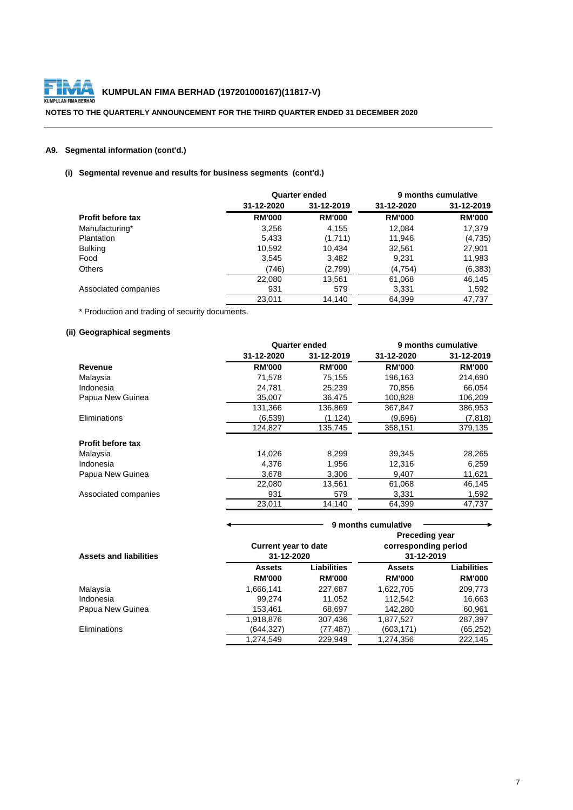

## **NOTES TO THE QUARTERLY ANNOUNCEMENT FOR THE THIRD QUARTER ENDED 31 DECEMBER 2020**

## **A9. Segmental information (cont'd.)**

## **(i) Segmental revenue and results for business segments (cont'd.)**

|                          |               | <b>Quarter ended</b> |               | 9 months cumulative |
|--------------------------|---------------|----------------------|---------------|---------------------|
|                          | 31-12-2020    | 31-12-2019           | 31-12-2020    | 31-12-2019          |
| <b>Profit before tax</b> | <b>RM'000</b> | <b>RM'000</b>        | <b>RM'000</b> | <b>RM'000</b>       |
| Manufacturing*           | 3,256         | 4,155                | 12,084        | 17,379              |
| <b>Plantation</b>        | 5,433         | (1,711)              | 11,946        | (4,735)             |
| <b>Bulking</b>           | 10,592        | 10.434               | 32,561        | 27,901              |
| Food                     | 3,545         | 3,482                | 9,231         | 11,983              |
| <b>Others</b>            | (746)         | (2,799)              | (4,754)       | (6, 383)            |
|                          | 22,080        | 13,561               | 61,068        | 46,145              |
| Associated companies     | 931           | 579                  | 3,331         | 1,592               |
|                          | 23.011        | 14.140               | 64,399        | 47.737              |

\* Production and trading of security documents.

## **(ii) Geographical segments**

|                          |               | Quarter ended | 9 months cumulative |               |  |
|--------------------------|---------------|---------------|---------------------|---------------|--|
|                          | 31-12-2020    | 31-12-2019    | 31-12-2020          | 31-12-2019    |  |
| Revenue                  | <b>RM'000</b> | <b>RM'000</b> | <b>RM'000</b>       | <b>RM'000</b> |  |
| Malaysia                 | 71,578        | 75,155        | 196,163             | 214,690       |  |
| Indonesia                | 24.781        | 25,239        | 70,856              | 66,054        |  |
| Papua New Guinea         | 35.007        | 36.475        | 100.828             | 106,209       |  |
|                          | 131,366       | 136,869       | 367,847             | 386,953       |  |
| Eliminations             | (6.539)       | (1,124)       | (9.696)             | (7, 818)      |  |
|                          | 124,827       | 135,745       | 358,151             | 379,135       |  |
| <b>Profit before tax</b> |               |               |                     |               |  |
| Malaysia                 | 14,026        | 8,299         | 39,345              | 28,265        |  |
| Indonesia                | 4,376         | 1,956         | 12,316              | 6,259         |  |
| Papua New Guinea         | 3,678         | 3,306         | 9,407               | 11,621        |  |
|                          | 22.080        | 13,561        | 61,068              | 46,145        |  |
| Associated companies     | 931           | 579           | 3,331               | 1,592         |  |
|                          | 23.011        | 14,140        | 64,399              | 47.737        |  |

|                               | 9 months cumulative                                                                                      |                              |                                |                                     |
|-------------------------------|----------------------------------------------------------------------------------------------------------|------------------------------|--------------------------------|-------------------------------------|
| <b>Assets and liabilities</b> | <b>Preceding year</b><br>corresponding period<br><b>Current year to date</b><br>31-12-2020<br>31-12-2019 |                              |                                |                                     |
|                               | <b>Assets</b><br><b>RM'000</b>                                                                           | Liabilities<br><b>RM'000</b> | <b>Assets</b><br><b>RM'000</b> | <b>Liabilities</b><br><b>RM'000</b> |
| Malaysia                      | 1,666,141                                                                                                | 227,687                      | 1,622,705                      | 209,773                             |
| Indonesia                     | 99.274                                                                                                   | 11,052                       | 112,542                        | 16,663                              |
| Papua New Guinea              | 153,461                                                                                                  | 68,697                       | 142,280                        | 60,961                              |
|                               | 1,918,876                                                                                                | 307,436                      | 1,877,527                      | 287,397                             |
| <b>Eliminations</b>           | (644.327)                                                                                                | (77,487)                     | (603,171)                      | (65, 252)                           |
|                               | 1,274,549                                                                                                | 229,949                      | 1,274,356                      | 222,145                             |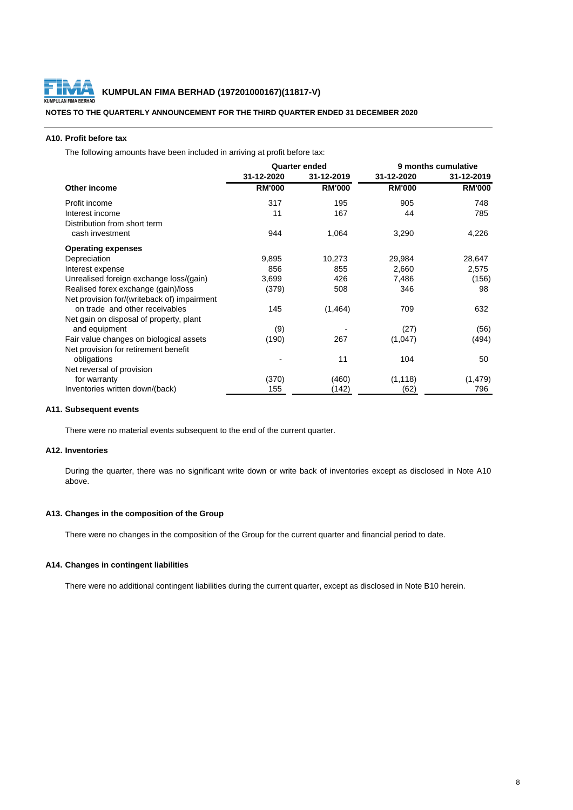

**NOTES TO THE QUARTERLY ANNOUNCEMENT FOR THE THIRD QUARTER ENDED 31 DECEMBER 2020**

## **A10. Profit before tax**

The following amounts have been included in arriving at profit before tax:

|                                             | <b>Quarter ended</b> |               | 9 months cumulative |               |  |
|---------------------------------------------|----------------------|---------------|---------------------|---------------|--|
|                                             | 31-12-2020           | 31-12-2019    | 31-12-2020          | 31-12-2019    |  |
| Other income                                | <b>RM'000</b>        | <b>RM'000</b> | <b>RM'000</b>       | <b>RM'000</b> |  |
| Profit income                               | 317                  | 195           | 905                 | 748           |  |
| Interest income                             | 11                   | 167           | 44                  | 785           |  |
| Distribution from short term                |                      |               |                     |               |  |
| cash investment                             | 944                  | 1,064         | 3,290               | 4,226         |  |
| <b>Operating expenses</b>                   |                      |               |                     |               |  |
| Depreciation                                | 9,895                | 10,273        | 29,984              | 28,647        |  |
| Interest expense                            | 856                  | 855           | 2,660               | 2,575         |  |
| Unrealised foreign exchange loss/(gain)     | 3,699                | 426           | 7,486               | (156)         |  |
| Realised forex exchange (gain)/loss         | (379)                | 508           | 346                 | 98            |  |
| Net provision for/(writeback of) impairment |                      |               |                     |               |  |
| on trade and other receivables              | 145                  | (1,464)       | 709                 | 632           |  |
| Net gain on disposal of property, plant     |                      |               |                     |               |  |
| and equipment                               | (9)                  |               | (27)                | (56)          |  |
| Fair value changes on biological assets     | (190)                | 267           | (1,047)             | (494)         |  |
| Net provision for retirement benefit        |                      |               |                     |               |  |
| obligations                                 |                      | 11            | 104                 | 50            |  |
| Net reversal of provision                   |                      |               |                     |               |  |
| for warranty                                | (370)                | (460)         | (1, 118)            | (1, 479)      |  |
| Inventories written down/(back)             | 155                  | (142)         | (62)                | 796           |  |

#### **A11. Subsequent events**

There were no material events subsequent to the end of the current quarter.

## **A12. Inventories**

During the quarter, there was no significant write down or write back of inventories except as disclosed in Note A10 above.

## **A13. Changes in the composition of the Group**

There were no changes in the composition of the Group for the current quarter and financial period to date.

## **A14. Changes in contingent liabilities**

There were no additional contingent liabilities during the current quarter, except as disclosed in Note B10 herein.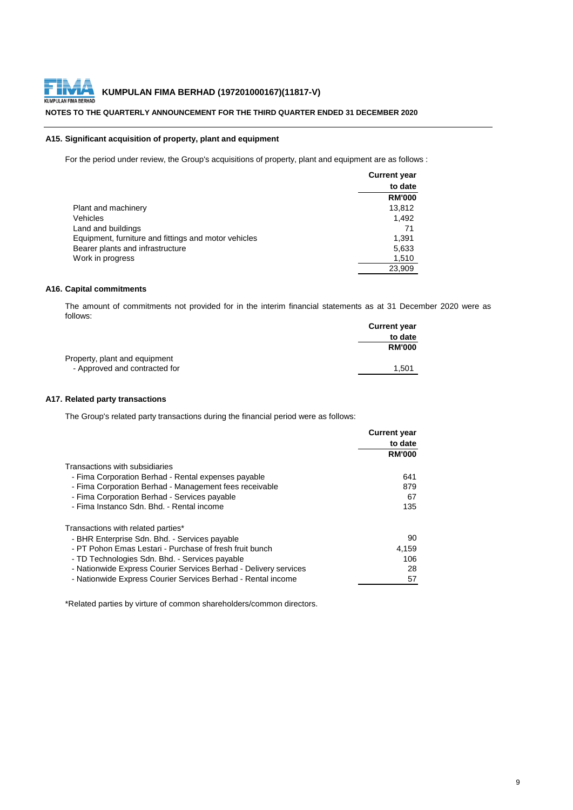

# **NOTES TO THE QUARTERLY ANNOUNCEMENT FOR THE THIRD QUARTER ENDED 31 DECEMBER 2020**

## **A15. Significant acquisition of property, plant and equipment**

For the period under review, the Group's acquisitions of property, plant and equipment are as follows :

|                                                      | <b>Current year</b> |
|------------------------------------------------------|---------------------|
|                                                      | to date             |
|                                                      | <b>RM'000</b>       |
| Plant and machinery                                  | 13,812              |
| Vehicles                                             | 1.492               |
| Land and buildings                                   | 71                  |
| Equipment, furniture and fittings and motor vehicles | 1,391               |
| Bearer plants and infrastructure                     | 5,633               |
| Work in progress                                     | 1,510               |
|                                                      | 23.909              |

## **A16. Capital commitments**

The amount of commitments not provided for in the interim financial statements as at 31 December 2020 were as follows:

|                               | <b>Current year</b> |
|-------------------------------|---------------------|
|                               | to date             |
|                               | <b>RM'000</b>       |
| Property, plant and equipment |                     |
| - Approved and contracted for | 1.501               |

## **A17. Related party transactions**

The Group's related party transactions during the financial period were as follows:

|                                                                  | <b>Current year</b> |
|------------------------------------------------------------------|---------------------|
|                                                                  | to date             |
|                                                                  | <b>RM'000</b>       |
| Transactions with subsidiaries                                   |                     |
| - Fima Corporation Berhad - Rental expenses payable              | 641                 |
| - Fima Corporation Berhad - Management fees receivable           | 879                 |
| - Fima Corporation Berhad - Services payable                     | 67                  |
| - Fima Instanco Sdn. Bhd. - Rental income                        | 135                 |
| Transactions with related parties*                               |                     |
| - BHR Enterprise Sdn. Bhd. - Services payable                    | 90                  |
| - PT Pohon Emas Lestari - Purchase of fresh fruit bunch          | 4.159               |
| - TD Technologies Sdn. Bhd. - Services payable                   | 106                 |
| - Nationwide Express Courier Services Berhad - Delivery services | 28                  |
| - Nationwide Express Courier Services Berhad - Rental income     | 57                  |

\*Related parties by virture of common shareholders/common directors.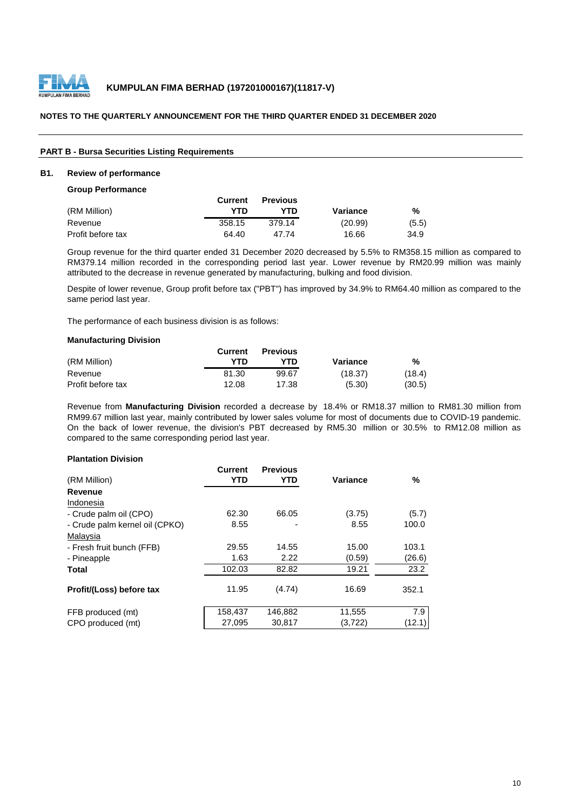

## **PART B - Bursa Securities Listing Requirements**

## **B1. Review of performance**

#### **Group Performance**

|                   | Current | <b>Previous</b> |          |       |
|-------------------|---------|-----------------|----------|-------|
| (RM Million)      | YTD     | YTN             | Variance | %     |
| Revenue           | 358.15  | 379.14          | (20.99)  | (5.5) |
| Profit before tax | 64.40   | 47 74           | 16.66    | 34.9  |

Group revenue for the third quarter ended 31 December 2020 decreased by 5.5% to RM358.15 million as compared to RM379.14 million recorded in the corresponding period last year. Lower revenue by RM20.99 million was mainly attributed to the decrease in revenue generated by manufacturing, bulking and food division.

Despite of lower revenue, Group profit before tax ("PBT") has improved by 34.9% to RM64.40 million as compared to the same period last year.

The performance of each business division is as follows:

#### **Manufacturing Division**

|                   | Current | <b>Previous</b> |          |        |
|-------------------|---------|-----------------|----------|--------|
| (RM Million)      | YTN     | YTD             | Variance | %      |
| Revenue           | 81.30   | 99.67           | (18.37)  | (18.4) |
| Profit before tax | 12.08   | 17.38           | (5.30)   | (30.5) |

Revenue from **Manufacturing Division** recorded a decrease by 18.4% or RM18.37 million to RM81.30 million from RM99.67 million last year, mainly contributed by lower sales volume for most of documents due to COVID-19 pandemic. On the back of lower revenue, the division's PBT decreased by RM5.30 million or 30.5% to RM12.08 million as compared to the same corresponding period last year.

#### **Plantation Division**

| %      |
|--------|
|        |
|        |
|        |
| (5.7)  |
| 100.0  |
|        |
| 103.1  |
| (26.6) |
| 23.2   |
|        |
| 352.1  |
| 7.9    |
| (12.1) |
|        |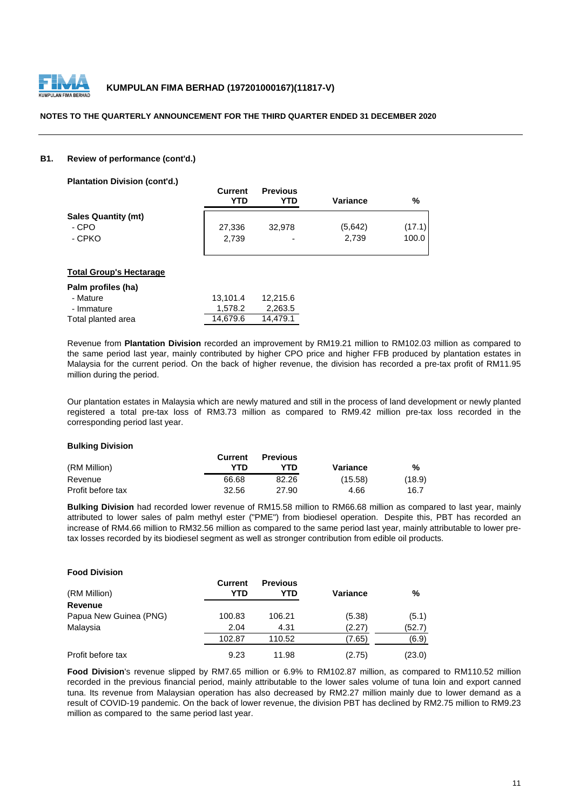

## **B1. Review of performance (cont'd.)**

**Plantation Division (cont'd.)**

|                            | <b>Current</b><br>YTD | <b>Previous</b><br>YTD | Variance | %      |
|----------------------------|-----------------------|------------------------|----------|--------|
| <b>Sales Quantity (mt)</b> |                       |                        |          |        |
| - CPO                      | 27,336                | 32.978                 | (5,642)  | (17.1) |
| - CPKO                     | 2.739                 | ٠                      | 2.739    | 100.0  |

### **Total Group's Hectarage**

| Palm profiles (ha) |          |          |
|--------------------|----------|----------|
| - Mature           | 13.101.4 | 12.215.6 |
| - Immature         | 1.578.2  | 2,263.5  |
| Total planted area | 14.679.6 | 14.479.1 |

Revenue from **Plantation Division** recorded an improvement by RM19.21 million to RM102.03 million as compared to the same period last year, mainly contributed by higher CPO price and higher FFB produced by plantation estates in Malaysia for the current period. On the back of higher revenue, the division has recorded a pre-tax profit of RM11.95 million during the period.

Our plantation estates in Malaysia which are newly matured and still in the process of land development or newly planted registered a total pre-tax loss of RM3.73 million as compared to RM9.42 million pre-tax loss recorded in the corresponding period last year.

## **Bulking Division**

|                   | Current | <b>Previous</b> |          |        |
|-------------------|---------|-----------------|----------|--------|
| (RM Million)      | YTN     | YTN             | Variance | %      |
| Revenue           | 66.68   | 82.26           | (15.58)  | (18.9) |
| Profit before tax | 32.56   | 27.90           | 4.66     | 16.7   |

**Bulking Division** had recorded lower revenue of RM15.58 million to RM66.68 million as compared to last year, mainly attributed to lower sales of palm methyl ester ("PME") from biodiesel operation. Despite this, PBT has recorded an increase of RM4.66 million to RM32.56 million as compared to the same period last year, mainly attributable to lower pretax losses recorded by its biodiesel segment as well as stronger contribution from edible oil products.

| <b>Food Division</b>   |                |                        |          |        |
|------------------------|----------------|------------------------|----------|--------|
| (RM Million)           | Current<br>YTD | <b>Previous</b><br>YTD | Variance | %      |
| Revenue                |                |                        |          |        |
| Papua New Guinea (PNG) | 100.83         | 106.21                 | (5.38)   | (5.1)  |
| Malaysia               | 2.04           | 4.31                   | (2.27)   | (52.7) |
|                        | 102.87         | 110.52                 | (7.65)   | (6.9)  |
| Profit before tax      | 9.23           | 11.98                  | (2.75)   | (23.0) |

**Food Division**'s revenue slipped by RM7.65 million or 6.9% to RM102.87 million, as compared to RM110.52 million recorded in the previous financial period, mainly attributable to the lower sales volume of tuna loin and export canned tuna. Its revenue from Malaysian operation has also decreased by RM2.27 million mainly due to lower demand as a result of COVID-19 pandemic. On the back of lower revenue, the division PBT has declined by RM2.75 million to RM9.23 million as compared to the same period last year.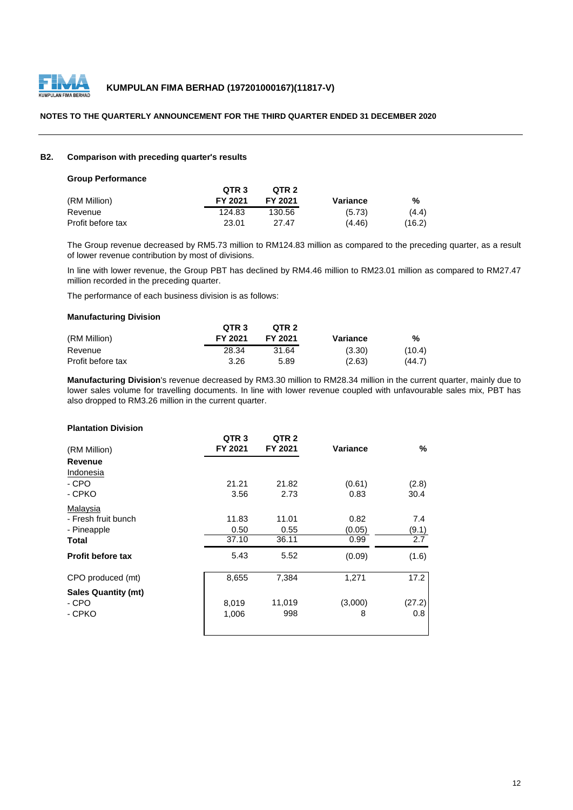

## **B2. Comparison with preceding quarter's results**

#### **Group Performance**

|                   | QTR <sub>3</sub> | OTR <sub>2</sub> |          |        |
|-------------------|------------------|------------------|----------|--------|
| (RM Million)      | FY 2021          | FY 2021          | Variance | %      |
| Revenue           | 124.83           | 130.56           | (5.73)   | (4.4)  |
| Profit before tax | 23.01            | 27.47            | (4.46)   | (16.2) |

The Group revenue decreased by RM5.73 million to RM124.83 million as compared to the preceding quarter, as a result of lower revenue contribution by most of divisions.

In line with lower revenue, the Group PBT has declined by RM4.46 million to RM23.01 million as compared to RM27.47 million recorded in the preceding quarter.

The performance of each business division is as follows:

## **Manufacturing Division**

|                   | QTR <sub>3</sub> | QTR <sub>2</sub> |          |        |
|-------------------|------------------|------------------|----------|--------|
| (RM Million)      | FY 2021          | FY 2021          | Variance | %      |
| Revenue           | 28.34            | 31.64            | (3.30)   | (10.4) |
| Profit before tax | 3.26             | 5.89             | (2.63)   | (44.7) |

**Manufacturing Division**'s revenue decreased by RM3.30 million to RM28.34 million in the current quarter, mainly due to lower sales volume for travelling documents. In line with lower revenue coupled with unfavourable sales mix, PBT has also dropped to RM3.26 million in the current quarter.

## **Plantation Division**

| (RM Million)               | QTR <sub>3</sub><br>FY 2021 | QTR <sub>2</sub><br>FY 2021 | Variance | %                |
|----------------------------|-----------------------------|-----------------------------|----------|------------------|
| Revenue                    |                             |                             |          |                  |
| Indonesia                  |                             |                             |          |                  |
| - CPO                      | 21.21                       | 21.82                       | (0.61)   | (2.8)            |
| - CPKO                     | 3.56                        | 2.73                        | 0.83     | 30.4             |
| Malaysia                   |                             |                             |          |                  |
| - Fresh fruit bunch        | 11.83                       | 11.01                       | 0.82     | 7.4              |
| - Pineapple                | 0.50                        | 0.55                        | (0.05)   | (9.1)            |
| Total                      | 37.10                       | 36.11                       | 0.99     | $\overline{2.7}$ |
| <b>Profit before tax</b>   | 5.43                        | 5.52                        | (0.09)   | (1.6)            |
| CPO produced (mt)          | 8,655                       | 7,384                       | 1,271    | 17.2             |
| <b>Sales Quantity (mt)</b> |                             |                             |          |                  |
| - CPO                      | 8,019                       | 11,019                      | (3,000)  | (27.2)           |
| - CPKO                     | 1,006                       | 998                         | 8        | 0.8              |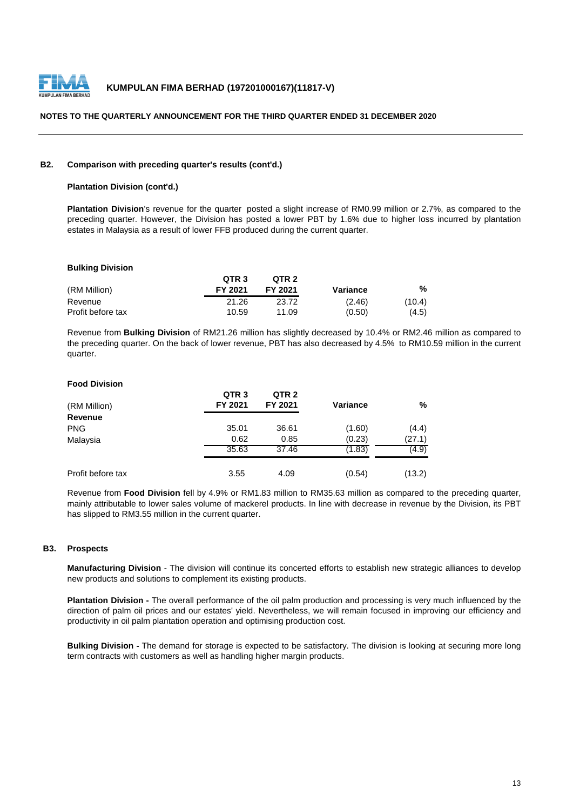

#### **B2. Comparison with preceding quarter's results (cont'd.)**

## **Plantation Division (cont'd.)**

**Plantation Division**'s revenue for the quarter posted a slight increase of RM0.99 million or 2.7%, as compared to the preceding quarter. However, the Division has posted a lower PBT by 1.6% due to higher loss incurred by plantation estates in Malaysia as a result of lower FFB produced during the current quarter.

## **Bulking Division**

|                   | QTR <sub>3</sub> | OTR <sub>2</sub> |          |        |
|-------------------|------------------|------------------|----------|--------|
| (RM Million)      | FY 2021          | FY 2021          | Variance | %      |
| Revenue           | 21.26            | 23.72            | (2.46)   | (10.4) |
| Profit before tax | 10.59            | 11.09            | (0.50)   | (4.5)  |

Revenue from **Bulking Division** of RM21.26 million has slightly decreased by 10.4% or RM2.46 million as compared to the preceding quarter. On the back of lower revenue, PBT has also decreased by 4.5% to RM10.59 million in the current quarter.

## **Food Division**

| (RM Million)      | QTR <sub>3</sub><br>FY 2021 | QTR <sub>2</sub><br>FY 2021 | <b>Variance</b> | %      |
|-------------------|-----------------------------|-----------------------------|-----------------|--------|
| Revenue           |                             |                             |                 |        |
| <b>PNG</b>        | 35.01                       | 36.61                       | (1.60)          | (4.4)  |
| Malaysia          | 0.62                        | 0.85                        | (0.23)          | (27.1) |
|                   | 35.63                       | 37.46                       | (1.83)          | (4.9)  |
| Profit before tax | 3.55                        | 4.09                        | (0.54)          | (13.2) |

Revenue from **Food Division** fell by 4.9% or RM1.83 million to RM35.63 million as compared to the preceding quarter, mainly attributable to lower sales volume of mackerel products. In line with decrease in revenue by the Division, its PBT has slipped to RM3.55 million in the current quarter.

#### **B3. Prospects**

**Manufacturing Division** - The division will continue its concerted efforts to establish new strategic alliances to develop new products and solutions to complement its existing products.

**Plantation Division -** The overall performance of the oil palm production and processing is very much influenced by the direction of palm oil prices and our estates' yield. Nevertheless, we will remain focused in improving our efficiency and productivity in oil palm plantation operation and optimising production cost.

**Bulking Division -** The demand for storage is expected to be satisfactory. The division is looking at securing more long term contracts with customers as well as handling higher margin products.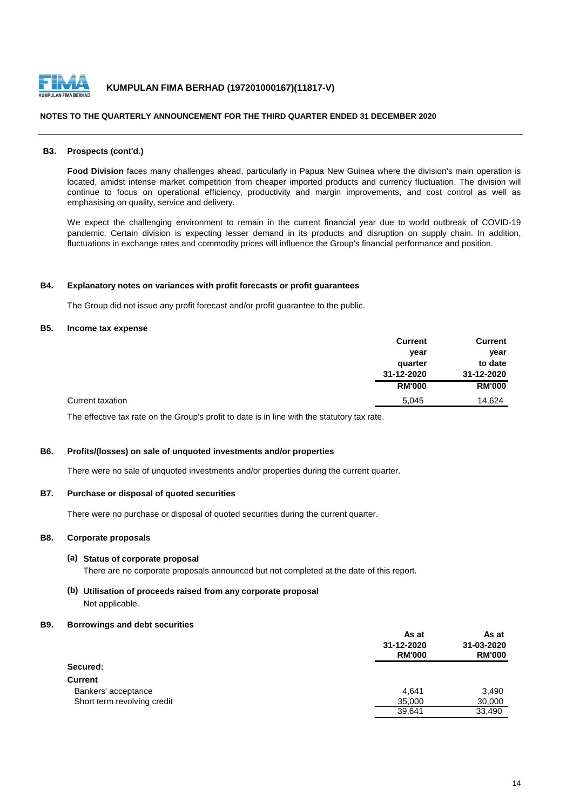

#### **B3. Prospects (cont'd.)**

**Food Division** faces many challenges ahead, particularly in Papua New Guinea where the division's main operation is located, amidst intense market competition from cheaper imported products and currency fluctuation. The division will continue to focus on operational efficiency, productivity and margin improvements, and cost control as well as emphasising on quality, service and delivery.

We expect the challenging environment to remain in the current financial year due to world outbreak of COVID-19 pandemic. Certain division is expecting lesser demand in its products and disruption on supply chain. In addition, fluctuations in exchange rates and commodity prices will influence the Group's financial performance and position.

#### **B4. Explanatory notes on variances with profit forecasts or profit guarantees**

The Group did not issue any profit forecast and/or profit guarantee to the public.

## **B5. Income tax expense**

|                  | <b>Current</b> | <b>Current</b> |
|------------------|----------------|----------------|
|                  | year           | year           |
|                  | quarter        | to date        |
|                  | 31-12-2020     | 31-12-2020     |
|                  | <b>RM'000</b>  | <b>RM'000</b>  |
| Current taxation | 5.045          | 14.624         |

The effective tax rate on the Group's profit to date is in line with the statutory tax rate.

## **B6. Profits/(losses) on sale of unquoted investments and/or properties**

There were no sale of unquoted investments and/or properties during the current quarter.

#### **B7. Purchase or disposal of quoted securities**

There were no purchase or disposal of quoted securities during the current quarter.

## **B8. Corporate proposals**

#### **(a) Status of corporate proposal**

There are no corporate proposals announced but not completed at the date of this report.

## **(b) Utilisation of proceeds raised from any corporate proposal** Not applicable.

#### **B9. Borrowings and debt securities**

|                             | As at         | As at<br>31-03-2020<br><b>RM'000</b> |
|-----------------------------|---------------|--------------------------------------|
|                             | 31-12-2020    |                                      |
|                             | <b>RM'000</b> |                                      |
| Secured:                    |               |                                      |
| <b>Current</b>              |               |                                      |
| Bankers' acceptance         | 4.641         | 3,490                                |
| Short term revolving credit | 35,000        | 30,000                               |
|                             | 39,641        | 33.490                               |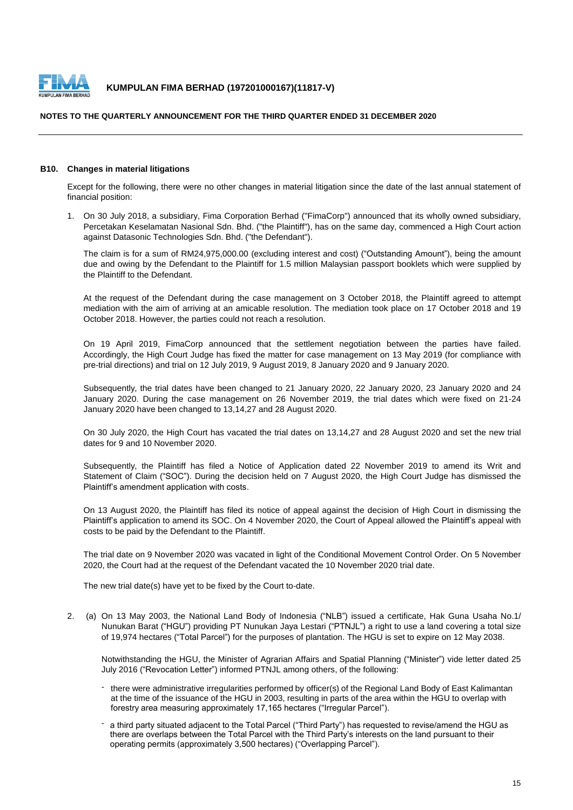

## **NOTES TO THE QUARTERLY ANNOUNCEMENT FOR THE THIRD QUARTER ENDED 31 DECEMBER 2020**

#### **B10. Changes in material litigations**

Except for the following, there were no other changes in material litigation since the date of the last annual statement of financial position:

1. On 30 July 2018, a subsidiary, Fima Corporation Berhad ("FimaCorp") announced that its wholly owned subsidiary, Percetakan Keselamatan Nasional Sdn. Bhd. ("the Plaintiff"), has on the same day, commenced a High Court action against Datasonic Technologies Sdn. Bhd. ("the Defendant").

The claim is for a sum of RM24,975,000.00 (excluding interest and cost) ("Outstanding Amount"), being the amount due and owing by the Defendant to the Plaintiff for 1.5 million Malaysian passport booklets which were supplied by the Plaintiff to the Defendant.

At the request of the Defendant during the case management on 3 October 2018, the Plaintiff agreed to attempt mediation with the aim of arriving at an amicable resolution. The mediation took place on 17 October 2018 and 19 October 2018. However, the parties could not reach a resolution.

On 19 April 2019, FimaCorp announced that the settlement negotiation between the parties have failed. Accordingly, the High Court Judge has fixed the matter for case management on 13 May 2019 (for compliance with pre-trial directions) and trial on 12 July 2019, 9 August 2019, 8 January 2020 and 9 January 2020.

Subsequently, the trial dates have been changed to 21 January 2020, 22 January 2020, 23 January 2020 and 24 January 2020. During the case management on 26 November 2019, the trial dates which were fixed on 21-24 January 2020 have been changed to 13,14,27 and 28 August 2020.

On 30 July 2020, the High Court has vacated the trial dates on 13,14,27 and 28 August 2020 and set the new trial dates for 9 and 10 November 2020.

Subsequently, the Plaintiff has filed a Notice of Application dated 22 November 2019 to amend its Writ and Statement of Claim ("SOC"). During the decision held on 7 August 2020, the High Court Judge has dismissed the Plaintiff's amendment application with costs.

On 13 August 2020, the Plaintiff has filed its notice of appeal against the decision of High Court in dismissing the Plaintiff's application to amend its SOC. On 4 November 2020, the Court of Appeal allowed the Plaintiff's appeal with costs to be paid by the Defendant to the Plaintiff.

The trial date on 9 November 2020 was vacated in light of the Conditional Movement Control Order. On 5 November 2020, the Court had at the request of the Defendant vacated the 10 November 2020 trial date.

The new trial date(s) have yet to be fixed by the Court to-date.

2. (a) On 13 May 2003, the National Land Body of Indonesia ("NLB") issued a certificate, Hak Guna Usaha No.1/ Nunukan Barat ("HGU") providing PT Nunukan Jaya Lestari ("PTNJL") a right to use a land covering a total size of 19,974 hectares ("Total Parcel") for the purposes of plantation. The HGU is set to expire on 12 May 2038.

Notwithstanding the HGU, the Minister of Agrarian Affairs and Spatial Planning ("Minister") vide letter dated 25 July 2016 ("Revocation Letter") informed PTNJL among others, of the following:

- there were administrative irregularities performed by officer(s) of the Regional Land Body of East Kalimantan at the time of the issuance of the HGU in 2003, resulting in parts of the area within the HGU to overlap with forestry area measuring approximately 17,165 hectares ("Irregular Parcel").
- a third party situated adjacent to the Total Parcel ("Third Party") has requested to revise/amend the HGU as there are overlaps between the Total Parcel with the Third Party's interests on the land pursuant to their operating permits (approximately 3,500 hectares) ("Overlapping Parcel").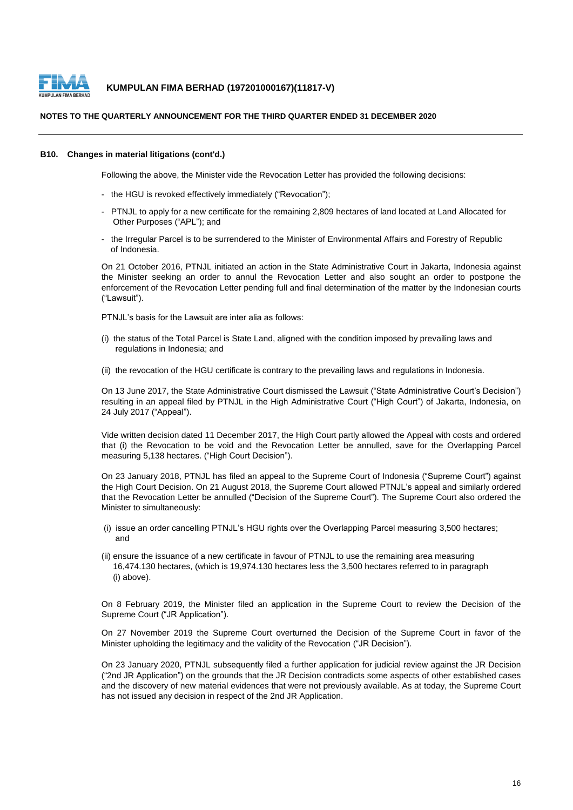

### **NOTES TO THE QUARTERLY ANNOUNCEMENT FOR THE THIRD QUARTER ENDED 31 DECEMBER 2020**

#### **B10. Changes in material litigations (cont'd.)**

Following the above, the Minister vide the Revocation Letter has provided the following decisions:

- the HGU is revoked effectively immediately ("Revocation");
- PTNJL to apply for a new certificate for the remaining 2,809 hectares of land located at Land Allocated for Other Purposes ("APL"); and
- the Irregular Parcel is to be surrendered to the Minister of Environmental Affairs and Forestry of Republic of Indonesia.

On 21 October 2016, PTNJL initiated an action in the State Administrative Court in Jakarta, Indonesia against the Minister seeking an order to annul the Revocation Letter and also sought an order to postpone the enforcement of the Revocation Letter pending full and final determination of the matter by the Indonesian courts ("Lawsuit").

PTNJL's basis for the Lawsuit are inter alia as follows:

- (i) the status of the Total Parcel is State Land, aligned with the condition imposed by prevailing laws and regulations in Indonesia; and
- (ii) the revocation of the HGU certificate is contrary to the prevailing laws and regulations in Indonesia.

On 13 June 2017, the State Administrative Court dismissed the Lawsuit ("State Administrative Court's Decision") resulting in an appeal filed by PTNJL in the High Administrative Court ("High Court") of Jakarta, Indonesia, on 24 July 2017 ("Appeal").

Vide written decision dated 11 December 2017, the High Court partly allowed the Appeal with costs and ordered that (i) the Revocation to be void and the Revocation Letter be annulled, save for the Overlapping Parcel measuring 5,138 hectares. ("High Court Decision").

On 23 January 2018, PTNJL has filed an appeal to the Supreme Court of Indonesia ("Supreme Court") against the High Court Decision. On 21 August 2018, the Supreme Court allowed PTNJL's appeal and similarly ordered that the Revocation Letter be annulled ("Decision of the Supreme Court"). The Supreme Court also ordered the Minister to simultaneously:

- (i) issue an order cancelling PTNJL's HGU rights over the Overlapping Parcel measuring 3,500 hectares; and
- (ii) ensure the issuance of a new certificate in favour of PTNJL to use the remaining area measuring 16,474.130 hectares, (which is 19,974.130 hectares less the 3,500 hectares referred to in paragraph (i) above).

On 8 February 2019, the Minister filed an application in the Supreme Court to review the Decision of the Supreme Court ("JR Application").

On 27 November 2019 the Supreme Court overturned the Decision of the Supreme Court in favor of the Minister upholding the legitimacy and the validity of the Revocation ("JR Decision").

On 23 January 2020, PTNJL subsequently filed a further application for judicial review against the JR Decision ("2nd JR Application") on the grounds that the JR Decision contradicts some aspects of other established cases and the discovery of new material evidences that were not previously available. As at today, the Supreme Court has not issued any decision in respect of the 2nd JR Application.